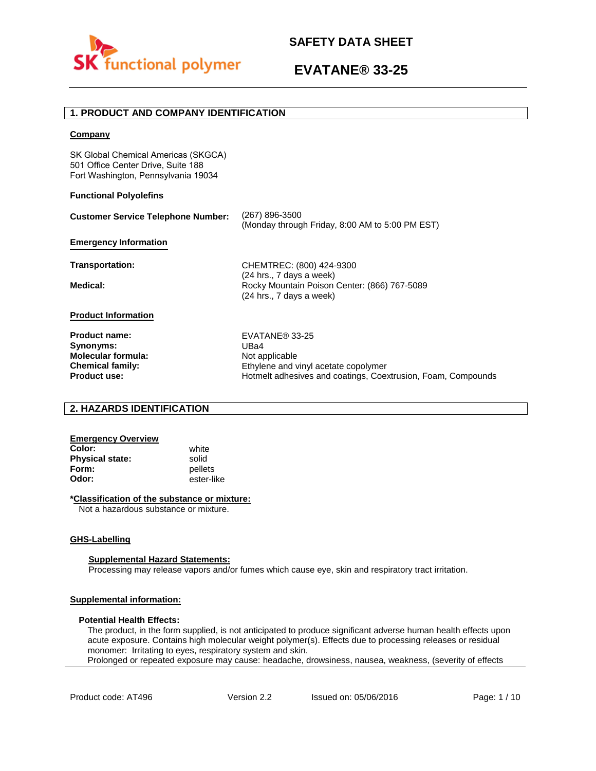

## **1. PRODUCT AND COMPANY IDENTIFICATION**

### **Company**

SK Global Chemical Americas (SKGCA) 501 Office Center Drive, Suite 188 Fort Washington, Pennsylvania 19034

### **Functional Polyolefins**

| <b>Customer Service Telephone Number:</b> | (267) 896-3500<br>(Monday through Friday, 8:00 AM to 5:00 PM EST)                                      |
|-------------------------------------------|--------------------------------------------------------------------------------------------------------|
| <b>Emergency Information</b>              |                                                                                                        |
| Transportation:                           | CHEMTREC: (800) 424-9300                                                                               |
| Medical:                                  | $(24$ hrs., 7 days a week)<br>Rocky Mountain Poison Center: (866) 767-5089<br>(24 hrs., 7 days a week) |
| <b>Product Information</b>                |                                                                                                        |
| <b>Product name:</b>                      | EVATANE® 33-25                                                                                         |
| Synonyms:                                 | UBa4                                                                                                   |
| <b>Molecular formula:</b>                 | Not applicable                                                                                         |
| <b>Chemical family:</b>                   | Ethylene and vinyl acetate copolymer                                                                   |
| <b>Product use:</b>                       | Hotmelt adhesives and coatings, Coextrusion, Foam, Compounds                                           |

## **2. HAZARDS IDENTIFICATION**

## **Emergency Overview**

**Color:** white **Physical state:** solid<br> **Form:** nellet **Form:** pellets<br> **Odor:** ester-li

**Odor:** ester-like

### **\*Classification of the substance or mixture:**

Not a hazardous substance or mixture.

### **GHS-Labelling**

### **Supplemental Hazard Statements:**

Processing may release vapors and/or fumes which cause eye, skin and respiratory tract irritation.

### **Supplemental information:**

### **Potential Health Effects:**

The product, in the form supplied, is not anticipated to produce significant adverse human health effects upon acute exposure. Contains high molecular weight polymer(s). Effects due to processing releases or residual monomer: Irritating to eyes, respiratory system and skin. Prolonged or repeated exposure may cause: headache, drowsiness, nausea, weakness, (severity of effects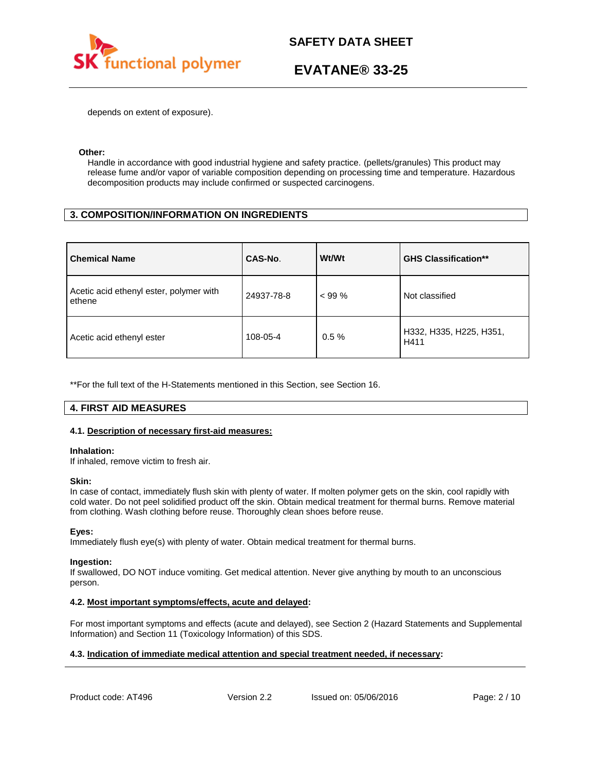

depends on extent of exposure).

### **Other:**

Handle in accordance with good industrial hygiene and safety practice. (pellets/granules) This product may release fume and/or vapor of variable composition depending on processing time and temperature. Hazardous decomposition products may include confirmed or suspected carcinogens.

## **3. COMPOSITION/INFORMATION ON INGREDIENTS**

| <b>Chemical Name</b>                              | CAS-No.    | Wt/Wt    | <b>GHS Classification**</b>     |
|---------------------------------------------------|------------|----------|---------------------------------|
| Acetic acid ethenyl ester, polymer with<br>ethene | 24937-78-8 | $< 99\%$ | Not classified                  |
| Acetic acid ethenyl ester                         | 108-05-4   | $0.5 \%$ | H332, H335, H225, H351,<br>H411 |

\*\*For the full text of the H-Statements mentioned in this Section, see Section 16.

## **4. FIRST AID MEASURES**

### **4.1. Description of necessary first-aid measures:**

### **Inhalation:**

If inhaled, remove victim to fresh air.

### **Skin:**

In case of contact, immediately flush skin with plenty of water. If molten polymer gets on the skin, cool rapidly with cold water. Do not peel solidified product off the skin. Obtain medical treatment for thermal burns. Remove material from clothing. Wash clothing before reuse. Thoroughly clean shoes before reuse.

### **Eyes:**

Immediately flush eye(s) with plenty of water. Obtain medical treatment for thermal burns.

### **Ingestion:**

If swallowed, DO NOT induce vomiting. Get medical attention. Never give anything by mouth to an unconscious person.

### **4.2. Most important symptoms/effects, acute and delayed:**

For most important symptoms and effects (acute and delayed), see Section 2 (Hazard Statements and Supplemental Information) and Section 11 (Toxicology Information) of this SDS.

### **4.3. Indication of immediate medical attention and special treatment needed, if necessary:**

Product code: AT496 Version 2.2 Issued on: 05/06/2016 Page: 2/10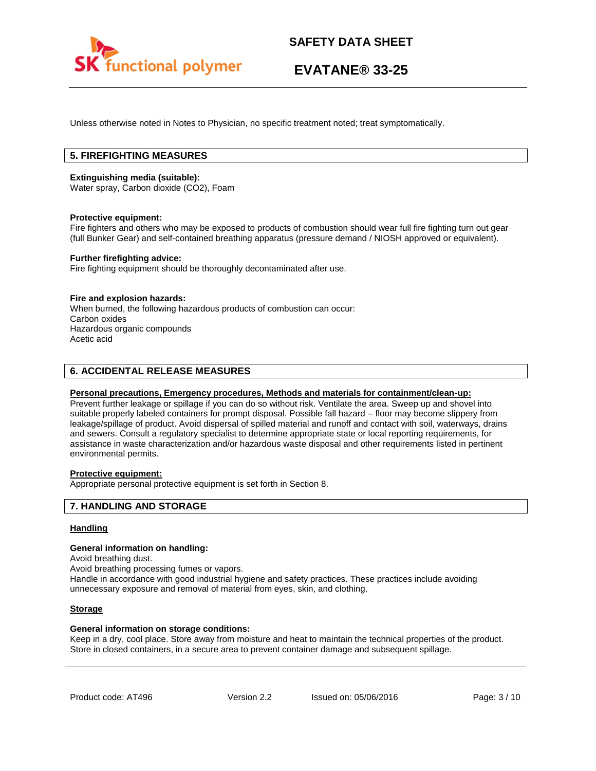

Unless otherwise noted in Notes to Physician, no specific treatment noted; treat symptomatically.

## **5. FIREFIGHTING MEASURES**

### **Extinguishing media (suitable):**

Water spray, Carbon dioxide (CO2), Foam

### **Protective equipment:**

Fire fighters and others who may be exposed to products of combustion should wear full fire fighting turn out gear (full Bunker Gear) and self-contained breathing apparatus (pressure demand / NIOSH approved or equivalent).

### **Further firefighting advice:**

Fire fighting equipment should be thoroughly decontaminated after use.

### **Fire and explosion hazards:**

When burned, the following hazardous products of combustion can occur: Carbon oxides Hazardous organic compounds Acetic acid

### **6. ACCIDENTAL RELEASE MEASURES**

### **Personal precautions, Emergency procedures, Methods and materials for containment/clean-up:**

Prevent further leakage or spillage if you can do so without risk. Ventilate the area. Sweep up and shovel into suitable properly labeled containers for prompt disposal. Possible fall hazard – floor may become slippery from leakage/spillage of product. Avoid dispersal of spilled material and runoff and contact with soil, waterways, drains and sewers. Consult a regulatory specialist to determine appropriate state or local reporting requirements, for assistance in waste characterization and/or hazardous waste disposal and other requirements listed in pertinent environmental permits.

## **Protective equipment:**

Appropriate personal protective equipment is set forth in Section 8.

### **7. HANDLING AND STORAGE**

### **Handling**

#### **General information on handling:**

Avoid breathing dust.

Avoid breathing processing fumes or vapors.

Handle in accordance with good industrial hygiene and safety practices. These practices include avoiding unnecessary exposure and removal of material from eyes, skin, and clothing.

### **Storage**

### **General information on storage conditions:**

Keep in a dry, cool place. Store away from moisture and heat to maintain the technical properties of the product. Store in closed containers, in a secure area to prevent container damage and subsequent spillage.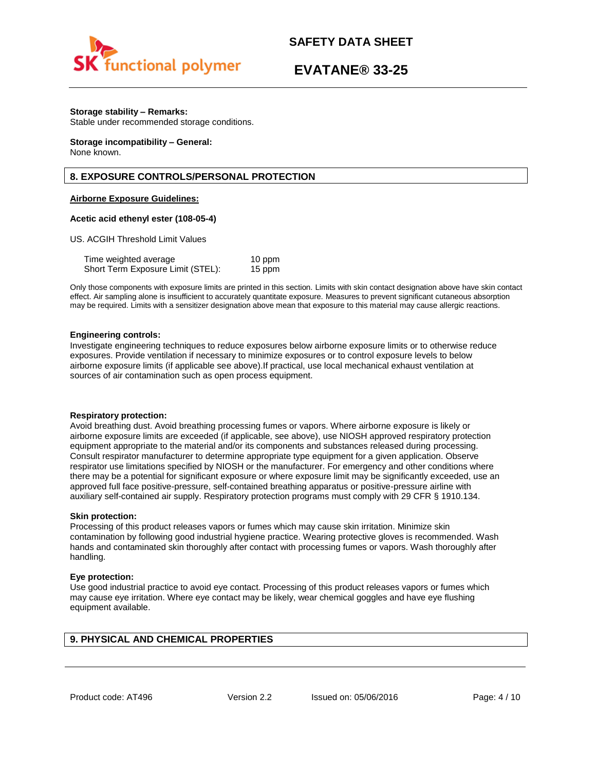

## **EVATANE® 33-25**

### **Storage stability – Remarks:**

Stable under recommended storage conditions.

#### **Storage incompatibility – General:**  None known.

## **8. EXPOSURE CONTROLS/PERSONAL PROTECTION**

### **Airborne Exposure Guidelines:**

### **Acetic acid ethenyl ester (108-05-4)**

US. ACGIH Threshold Limit Values

| Time weighted average             | 10 ppm |
|-----------------------------------|--------|
| Short Term Exposure Limit (STEL): | 15 ppm |

Only those components with exposure limits are printed in this section. Limits with skin contact designation above have skin contact effect. Air sampling alone is insufficient to accurately quantitate exposure. Measures to prevent significant cutaneous absorption may be required. Limits with a sensitizer designation above mean that exposure to this material may cause allergic reactions.

### **Engineering controls:**

Investigate engineering techniques to reduce exposures below airborne exposure limits or to otherwise reduce exposures. Provide ventilation if necessary to minimize exposures or to control exposure levels to below airborne exposure limits (if applicable see above).If practical, use local mechanical exhaust ventilation at sources of air contamination such as open process equipment.

### **Respiratory protection:**

Avoid breathing dust. Avoid breathing processing fumes or vapors. Where airborne exposure is likely or airborne exposure limits are exceeded (if applicable, see above), use NIOSH approved respiratory protection equipment appropriate to the material and/or its components and substances released during processing. Consult respirator manufacturer to determine appropriate type equipment for a given application. Observe respirator use limitations specified by NIOSH or the manufacturer. For emergency and other conditions where there may be a potential for significant exposure or where exposure limit may be significantly exceeded, use an approved full face positive-pressure, self-contained breathing apparatus or positive-pressure airline with auxiliary self-contained air supply. Respiratory protection programs must comply with 29 CFR § 1910.134.

### **Skin protection:**

Processing of this product releases vapors or fumes which may cause skin irritation. Minimize skin contamination by following good industrial hygiene practice. Wearing protective gloves is recommended. Wash hands and contaminated skin thoroughly after contact with processing fumes or vapors. Wash thoroughly after handling.

### **Eye protection:**

Use good industrial practice to avoid eye contact. Processing of this product releases vapors or fumes which may cause eye irritation. Where eye contact may be likely, wear chemical goggles and have eye flushing equipment available.

## **9. PHYSICAL AND CHEMICAL PROPERTIES**

Product code: AT496 **Version 2.2** Issued on: 05/06/2016 Page: 4/10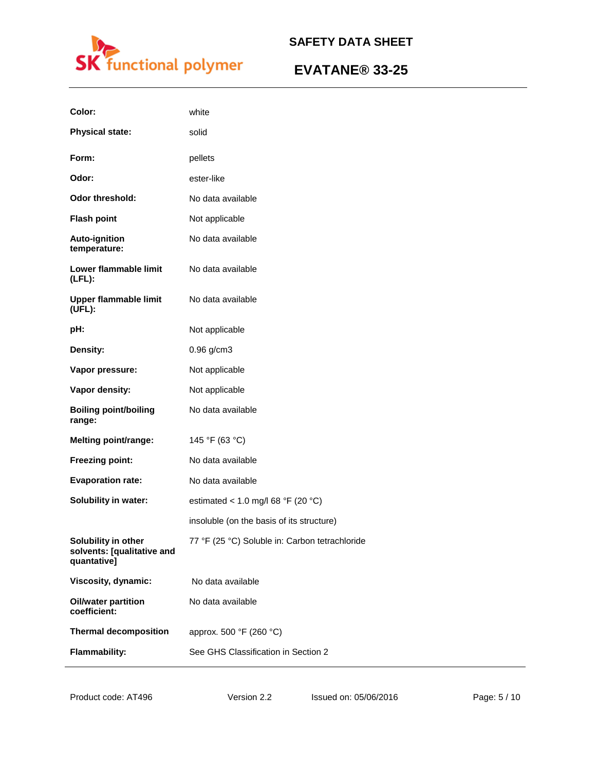

| Color:                                                           | white                                          |
|------------------------------------------------------------------|------------------------------------------------|
| <b>Physical state:</b>                                           | solid                                          |
| Form:                                                            | pellets                                        |
| Odor:                                                            | ester-like                                     |
| <b>Odor threshold:</b>                                           | No data available                              |
| <b>Flash point</b>                                               | Not applicable                                 |
| <b>Auto-ignition</b><br>temperature:                             | No data available                              |
| Lower flammable limit<br>$(LFL)$ :                               | No data available                              |
| <b>Upper flammable limit</b><br>(UFL):                           | No data available                              |
| pH:                                                              | Not applicable                                 |
| Density:                                                         | $0.96$ g/cm3                                   |
| Vapor pressure:                                                  | Not applicable                                 |
| Vapor density:                                                   | Not applicable                                 |
| <b>Boiling point/boiling</b><br>range:                           | No data available                              |
| <b>Melting point/range:</b>                                      | 145 °F (63 °C)                                 |
| Freezing point:                                                  | No data available                              |
| <b>Evaporation rate:</b>                                         | No data available                              |
| Solubility in water:                                             | estimated < 1.0 mg/l 68 °F (20 °C)             |
|                                                                  | insoluble (on the basis of its structure)      |
| Solubility in other<br>solvents: [qualitative and<br>quantative] | 77 °F (25 °C) Soluble in: Carbon tetrachloride |
| Viscosity, dynamic:                                              | No data available                              |
| <b>Oil/water partition</b><br>coefficient:                       | No data available                              |
| <b>Thermal decomposition</b>                                     | approx. 500 °F (260 °C)                        |
| <b>Flammability:</b>                                             | See GHS Classification in Section 2            |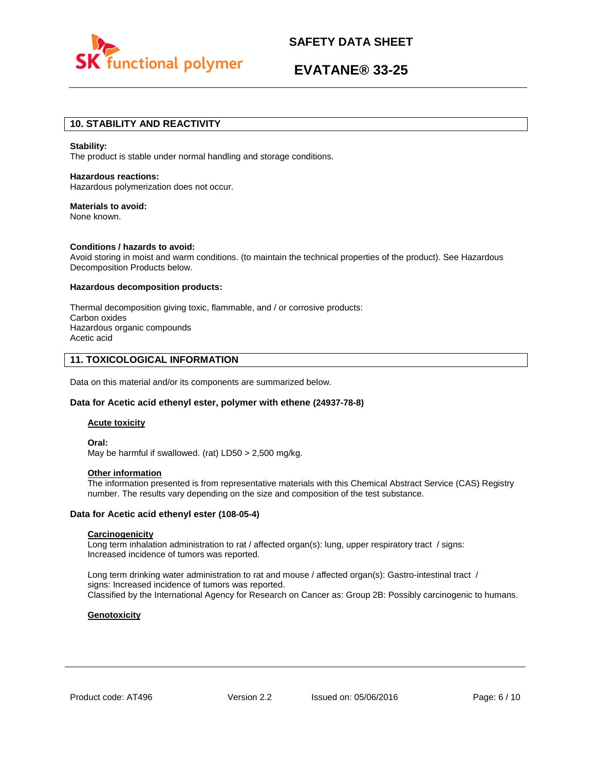

# **EVATANE® 33-25**

## **10. STABILITY AND REACTIVITY**

#### **Stability:**

The product is stable under normal handling and storage conditions.

## **Hazardous reactions:**

Hazardous polymerization does not occur.

### **Materials to avoid:**

None known.

### **Conditions / hazards to avoid:**

Avoid storing in moist and warm conditions. (to maintain the technical properties of the product). See Hazardous Decomposition Products below.

### **Hazardous decomposition products:**

Thermal decomposition giving toxic, flammable, and / or corrosive products: Carbon oxides Hazardous organic compounds Acetic acid

### **11. TOXICOLOGICAL INFORMATION**

Data on this material and/or its components are summarized below.

### **Data for Acetic acid ethenyl ester, polymer with ethene (24937-78-8)**

### **Acute toxicity**

**Oral:** May be harmful if swallowed. (rat) LD50 > 2,500 mg/kg.

#### **Other information**

The information presented is from representative materials with this Chemical Abstract Service (CAS) Registry number. The results vary depending on the size and composition of the test substance.

### **Data for Acetic acid ethenyl ester (108-05-4)**

### **Carcinogenicity**

Long term inhalation administration to rat / affected organ(s): lung, upper respiratory tract / signs: Increased incidence of tumors was reported.

Long term drinking water administration to rat and mouse / affected organ(s): Gastro-intestinal tract / signs: Increased incidence of tumors was reported. Classified by the International Agency for Research on Cancer as: Group 2B: Possibly carcinogenic to humans.

### **Genotoxicity**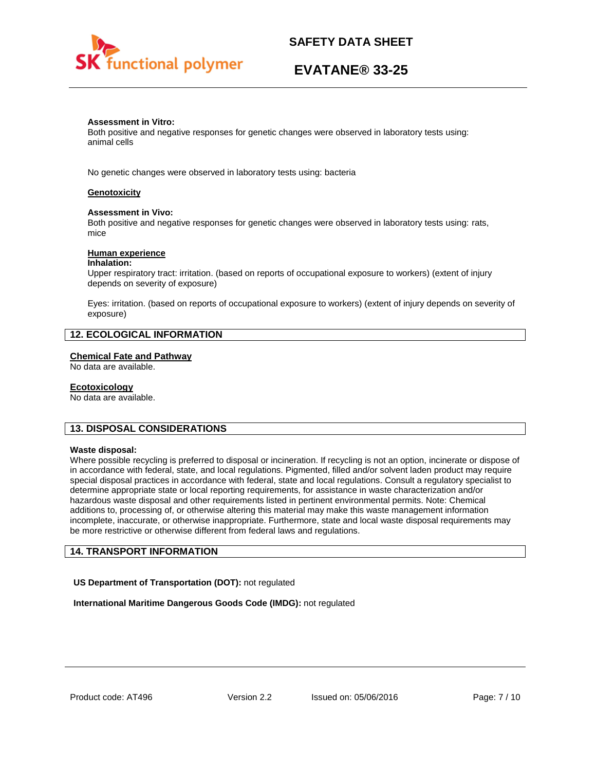

# **EVATANE® 33-25**

### **Assessment in Vitro:**

Both positive and negative responses for genetic changes were observed in laboratory tests using: animal cells

No genetic changes were observed in laboratory tests using: bacteria

### **Genotoxicity**

### **Assessment in Vivo:**

Both positive and negative responses for genetic changes were observed in laboratory tests using: rats, mice

### **Human experience**

### **Inhalation:**

Upper respiratory tract: irritation. (based on reports of occupational exposure to workers) (extent of injury depends on severity of exposure)

Eyes: irritation. (based on reports of occupational exposure to workers) (extent of injury depends on severity of exposure)

## **12. ECOLOGICAL INFORMATION**

### **Chemical Fate and Pathway**

No data are available.

### **Ecotoxicology**

No data are available.

## **13. DISPOSAL CONSIDERATIONS**

### **Waste disposal:**

Where possible recycling is preferred to disposal or incineration. If recycling is not an option, incinerate or dispose of in accordance with federal, state, and local regulations. Pigmented, filled and/or solvent laden product may require special disposal practices in accordance with federal, state and local regulations. Consult a regulatory specialist to determine appropriate state or local reporting requirements, for assistance in waste characterization and/or hazardous waste disposal and other requirements listed in pertinent environmental permits. Note: Chemical additions to, processing of, or otherwise altering this material may make this waste management information incomplete, inaccurate, or otherwise inappropriate. Furthermore, state and local waste disposal requirements may be more restrictive or otherwise different from federal laws and regulations.

## **14. TRANSPORT INFORMATION**

**US Department of Transportation (DOT):** not regulated

**International Maritime Dangerous Goods Code (IMDG):** not regulated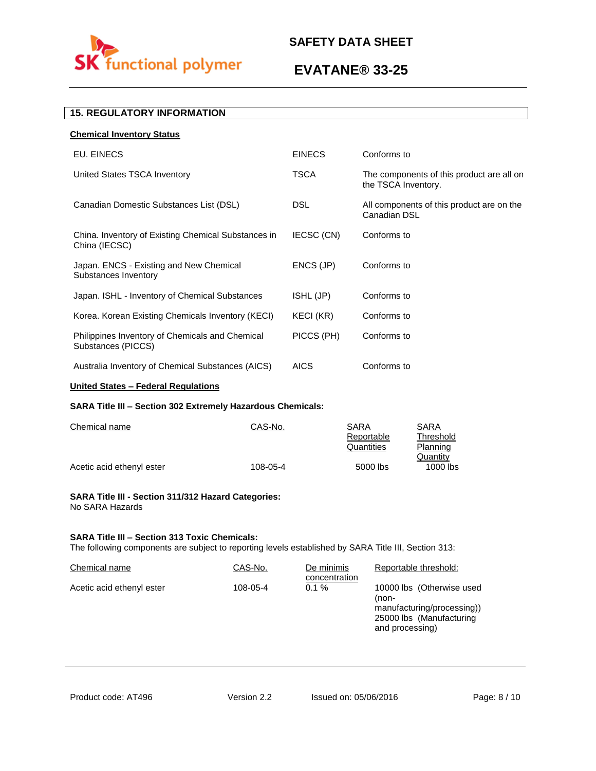

# **EVATANE® 33-25**

## **15. REGULATORY INFORMATION**

| <b>Chemical Inventory Status</b>                                      |               |                                                                  |
|-----------------------------------------------------------------------|---------------|------------------------------------------------------------------|
| EU. EINECS                                                            | <b>EINECS</b> | Conforms to                                                      |
| United States TSCA Inventory                                          | TSCA          | The components of this product are all on<br>the TSCA Inventory. |
| Canadian Domestic Substances List (DSL)                               | <b>DSL</b>    | All components of this product are on the<br>Canadian DSL        |
| China. Inventory of Existing Chemical Substances in<br>China (IECSC)  | IECSC (CN)    | Conforms to                                                      |
| Japan. ENCS - Existing and New Chemical<br>Substances Inventory       | ENCS (JP)     | Conforms to                                                      |
| Japan. ISHL - Inventory of Chemical Substances                        | ISHL (JP)     | Conforms to                                                      |
| Korea. Korean Existing Chemicals Inventory (KECI)                     | KECI (KR)     | Conforms to                                                      |
| Philippines Inventory of Chemicals and Chemical<br>Substances (PICCS) | PICCS (PH)    | Conforms to                                                      |
| Australia Inventory of Chemical Substances (AICS)                     | <b>AICS</b>   | Conforms to                                                      |

## **United States – Federal Regulations**

### **SARA Title III – Section 302 Extremely Hazardous Chemicals:**

| Chemical name             | CAS-No.  | SARA       | SARA       |
|---------------------------|----------|------------|------------|
|                           |          | Reportable | Threshold  |
|                           |          | Quantities | Planning   |
|                           |          |            | Quantity   |
| Acetic acid ethenyl ester | 108-05-4 | 5000 lbs   | $1000$ lbs |

### **SARA Title III - Section 311/312 Hazard Categories:**  No SARA Hazards

### **SARA Title III – Section 313 Toxic Chemicals:**

The following components are subject to reporting levels established by SARA Title III, Section 313:

| Chemical name             | CAS-No.  | De minimis<br>concentration | Reportable threshold:                                                                                           |
|---------------------------|----------|-----------------------------|-----------------------------------------------------------------------------------------------------------------|
| Acetic acid ethenyl ester | 108-05-4 | $0.1 \%$                    | 10000 lbs (Otherwise used<br>(non-<br>manufacturing/processing))<br>25000 lbs (Manufacturing<br>and processing) |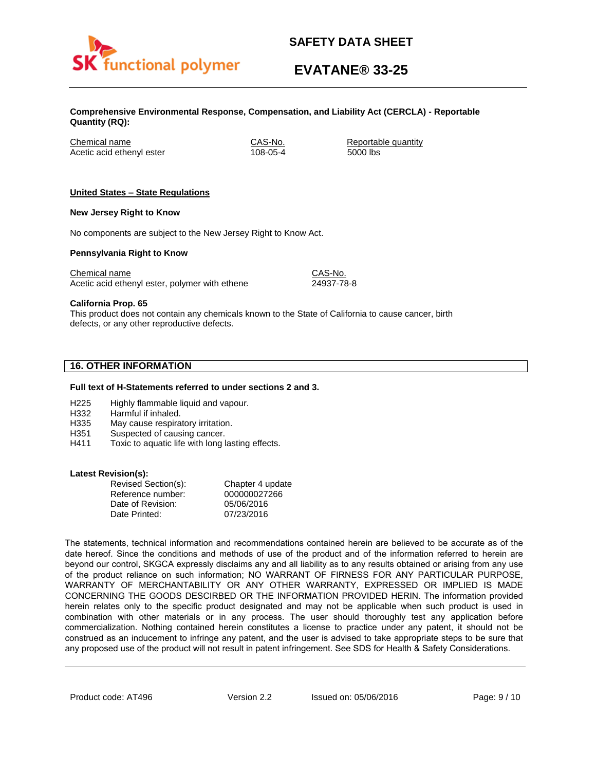

# **EVATANE® 33-25**

**Comprehensive Environmental Response, Compensation, and Liability Act (CERCLA) - Reportable Quantity (RQ):**

Chemical name CAS-No. Reportable quantity Acetic acid ethenyl ester 108-05-4 5000 lbs

### **United States – State Regulations**

### **New Jersey Right to Know**

No components are subject to the New Jersey Right to Know Act.

### **Pennsylvania Right to Know**

Chemical name Chemical name CAS-No. Acetic acid ethenyl ester, polymer with ethene 24937-78-8

**California Prop. 65**

This product does not contain any chemicals known to the State of California to cause cancer, birth defects, or any other reproductive defects.

## **16. OTHER INFORMATION**

### **Full text of H-Statements referred to under sections 2 and 3.**

- H225 Highly flammable liquid and vapour.
- H332 Harmful if inhaled.
- H335 May cause respiratory irritation.
- H351 Suspected of causing cancer.
- H411 Toxic to aquatic life with long lasting effects.

### **Latest Revision(s):**

| Revised Section(s): | Chapter 4 update |
|---------------------|------------------|
| Reference number:   | 000000027266     |
| Date of Revision:   | 05/06/2016       |
| Date Printed:       | 07/23/2016       |

The statements, technical information and recommendations contained herein are believed to be accurate as of the date hereof. Since the conditions and methods of use of the product and of the information referred to herein are beyond our control, SKGCA expressly disclaims any and all liability as to any results obtained or arising from any use of the product reliance on such information; NO WARRANT OF FIRNESS FOR ANY PARTICULAR PURPOSE, WARRANTY OF MERCHANTABILITY OR ANY OTHER WARRANTY, EXPRESSED OR IMPLIED IS MADE CONCERNING THE GOODS DESCIRBED OR THE INFORMATION PROVIDED HERIN. The information provided herein relates only to the specific product designated and may not be applicable when such product is used in combination with other materials or in any process. The user should thoroughly test any application before commercialization. Nothing contained herein constitutes a license to practice under any patent, it should not be construed as an inducement to infringe any patent, and the user is advised to take appropriate steps to be sure that any proposed use of the product will not result in patent infringement. See SDS for Health & Safety Considerations.

Product code: AT496 **Version 2.2** Issued on: 05/06/2016 Page: 9 / 10